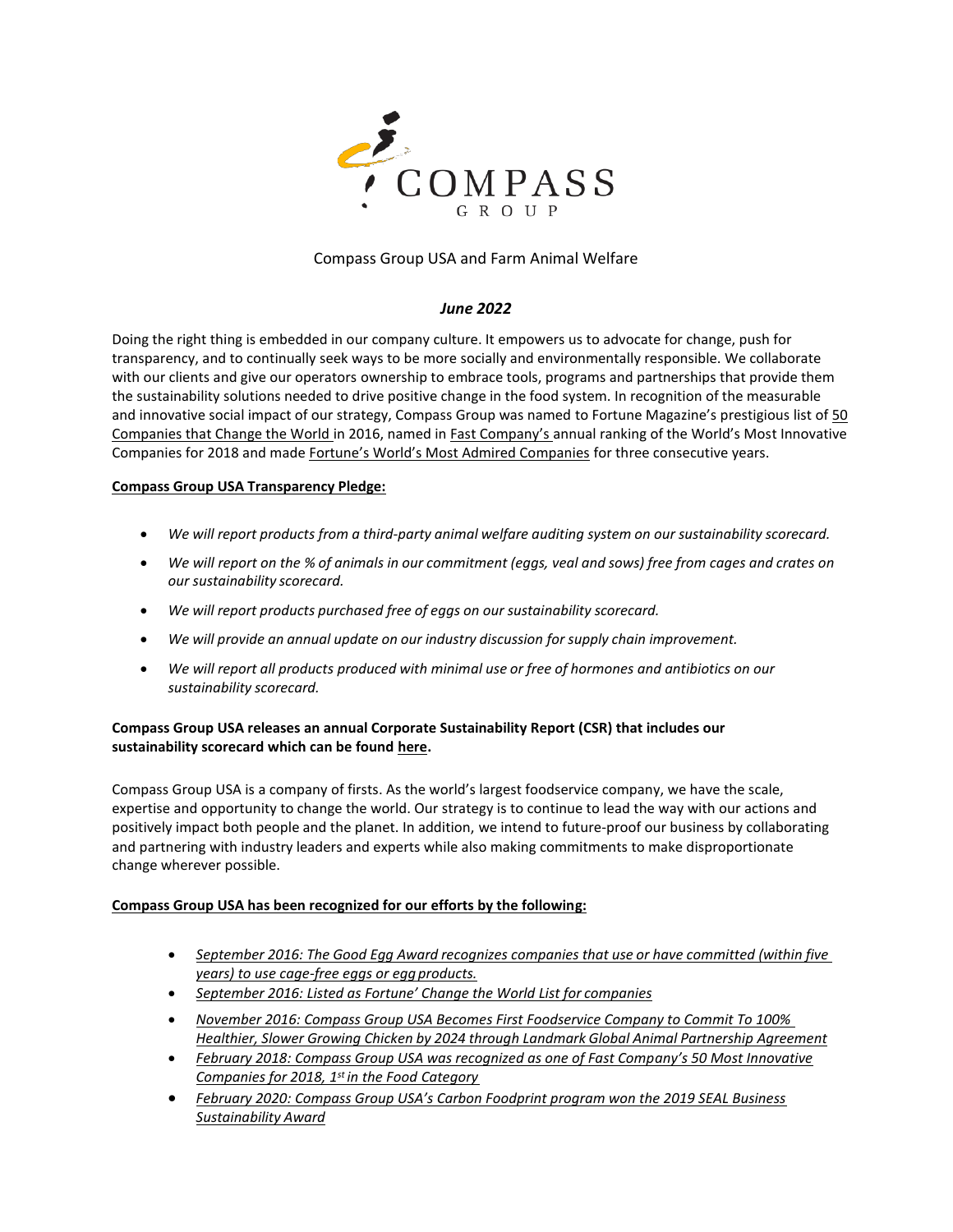

# Compass Group USA and Farm Animal Welfare

## *June 2022*

Doing the right thing is embedded in our company culture. It empowers us to advocate for change, push for transparency, and to continually seek ways to be more socially and environmentally responsible. We collaborate with our clients and give our operators ownership to embrace tools, programs and partnerships that provide them the sustainability solutions needed to drive positive change in the food system. In recognition of the measurable and innovative social impact of our strategy, Compass Group was named to Fortune Magazine's prestigious list of [50](http://www.compass-usa.com/compass-group-named-fortunes-change-world-list/)  [Companies that Change the World i](http://www.compass-usa.com/compass-group-named-fortunes-change-world-list/)n 2016, named in [Fast Company's a](https://www.compass-usa.com/compass-group-recognized-fast-company-one-worlds-top-50-innovative-companies-2018/)nnual ranking of the World's Most Innovative Companies for 2018 and made [Fortune's World's Most Admired Companies](https://www.compass-usa.com/compass-group-named-one-of-worlds-most-admired-companies-by-fortune/) for three consecutive years.

## **Compass Group USA Transparency Pledge:**

- *We will report products from a third-party animal welfare auditing system on our sustainability scorecard.*
- We will report on the % of animals in our commitment (eggs, yeal and sows) free from cages and crates on *our sustainability scorecard.*
- *We will report products purchased free of eggs on our sustainability scorecard.*
- *We will provide an annual update on our industry discussion for supply chain improvement.*
- *We will report all products produced with minimal use or free of hormones and antibiotics on our sustainability scorecard.*

# **Compass Group USA releases an annual Corporate Sustainability Report (CSR) that includes our sustainability scorecard which can be foun[d here.](https://www.compass-usa.com/2021-corporate-social-responsibility-report/)**

Compass Group USA is a company of firsts. As the world's largest foodservice company, we have the scale, expertise and opportunity to change the world. Our strategy is to continue to lead the way with our actions and positively impact both people and the planet. In addition, we intend to future-proof our business by collaborating and partnering with industry leaders and experts while also making commitments to make disproportionate change wherever possible.

## **Compass Group USA has been recognized for our efforts by the following:**

- *[September](https://www.compass-usa.com/compass-usa-receives-good-egg-award-compassion-world-farming-cage-free-egg-policies/) 2016: The Good Egg Award recognizes companies that use or have [committed](https://www.compass-usa.com/compass-usa-receives-good-egg-award-compassion-world-farming-cage-free-egg-policies/) (within five [years\) to use cage-free eggs or egg](https://www.compass-usa.com/compass-usa-receives-good-egg-award-compassion-world-farming-cage-free-egg-policies/) products.*
- *[September 2016:](https://www.compass-usa.com/compass-group-named-fortunes-change-world-list/) [Listed as Fortune' Change the World List for](https://www.compass-usa.com/compass-group-named-fortunes-change-world-list/) companies*
- *[November 2016:](https://www.prnewswire.com/news-releases/compass-group-usa-becomes-first-food-service-company-to-commit-to-100-healthier-slower-growing-chicken-by-2024-through-landmark-global-animal-partnership-agreement-300356873.html) [Compass Group USA Becomes First Foodservice Company to Commit To 100%](https://www.prnewswire.com/news-releases/compass-group-usa-becomes-first-food-service-company-to-commit-to-100-healthier-slower-growing-chicken-by-2024-through-landmark-global-animal-partnership-agreement-300356873.html)  Healthier, Slower Growing Chicken by 2024 through Landmark Global Animal [Partnership](https://www.prnewswire.com/news-releases/compass-group-usa-becomes-first-food-service-company-to-commit-to-100-healthier-slower-growing-chicken-by-2024-through-landmark-global-animal-partnership-agreement-300356873.html) Agreement*
- *[February 2018: Compass Group USA was recognized as one of Fast Comp](https://www.compass-usa.com/compass-group-recognized-fast-company-one-worlds-top-50-innovative-companies-2018/)any's 50 Most Innovative [Companies for 2018, 1](https://www.compass-usa.com/compass-group-recognized-fast-company-one-worlds-top-50-innovative-companies-2018/)st in the Food Category*
- *[February 2020: Compass Group USA's Carbon Foodprint program won the 2019 SEAL Business](https://sealawards.com/sustainability-award-2019)  [Sustainability](https://sealawards.com/sustainability-award-2019) Award*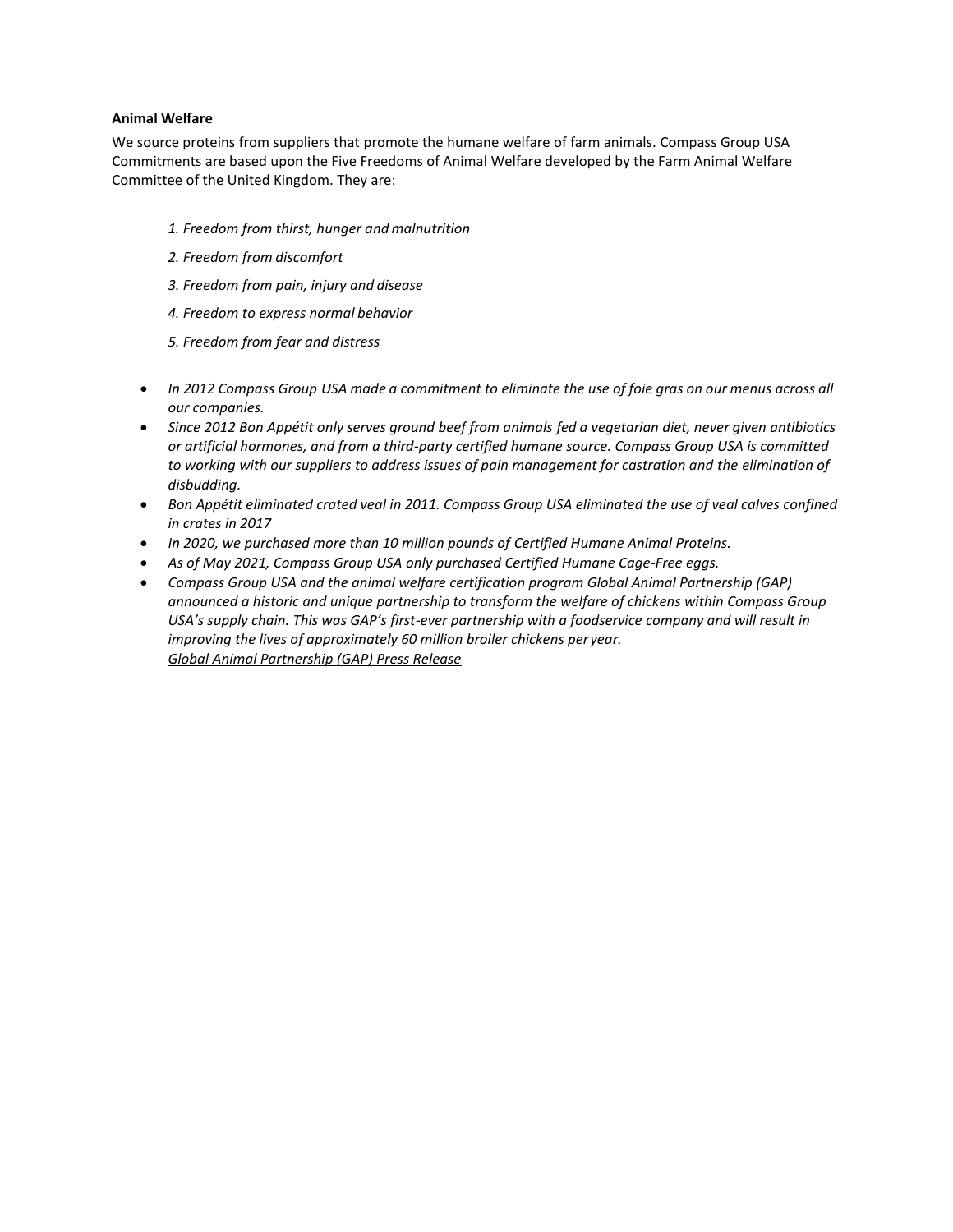## **Animal Welfare**

We source proteins from suppliers that promote the humane welfare of farm animals. Compass Group USA Commitments are based upon the Five Freedoms of Animal Welfare developed by the Farm Animal Welfare Committee of the United Kingdom. They are:

- *1. Freedom from thirst, hunger and malnutrition*
- *2. Freedom from discomfort*
- *3. Freedom from pain, injury and disease*
- *4. Freedom to express normal behavior*
- *5. Freedom from fear and distress*
- *In 2012 Compass Group USA made a commitment to eliminate the use of foie gras on our menus across all our companies.*
- *Since 2012 Bon Appétit only serves ground beef from animals fed a vegetarian diet, never given antibiotics or artificial hormones, and from a third-party certified humane source. Compass Group USA is committed to working with our suppliers to address issues of pain management for castration and the elimination of disbudding.*
- *Bon Appétit eliminated crated veal in 2011. Compass Group USA eliminated the use of veal calves confined in crates in 2017*
- *In 2020, we purchased more than 10 million pounds of Certified Humane Animal Proteins.*
- *As of May 2021, Compass Group USA only purchased Certified Humane Cage-Free eggs.*
- *Compass Group USA and the animal welfare certification program Global Animal Partnership (GAP) announced a historic and unique partnership to transform the welfare of chickens within Compass Group USA's supply chain. This was GAP's first-ever partnership with a foodservice company and will result in improving the lives of approximately 60 million broiler chickens per year. [Global Animal Partnership \(GAP\) Press Release](http://www.compass-usa.com/compass-group-usa-becomes-first-food-service-company-commit-100-healthier-slower-growing-chicken-2024-landmark-global-animal-partnership-agreement/)*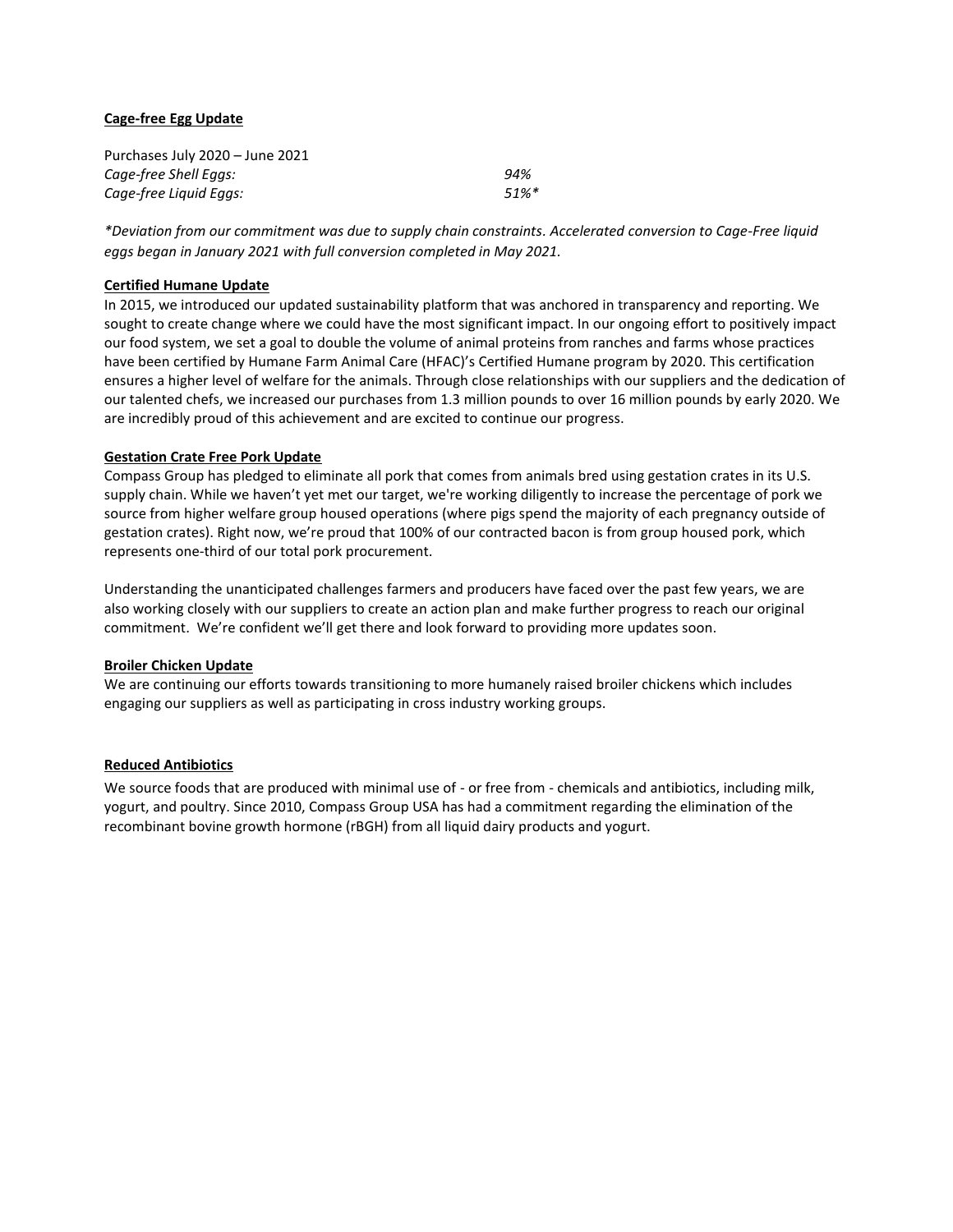## **Cage-free Egg Update**

| Purchases July 2020 - June 2021 |          |
|---------------------------------|----------|
| Cage-free Shell Eggs:           | 94%      |
| Cage-free Liguid Eggs:          | $51\%$ * |

*\*Deviation from our commitment was due to supply chain constraints. Accelerated conversion to Cage-Free liquid eggs began in January 2021 with full conversion completed in May 2021.* 

#### **Certified Humane Update**

In 2015, we introduced our updated sustainability platform that was anchored in transparency and reporting. We sought to create change where we could have the most significant impact. In our ongoing effort to positively impact our food system, we set a goal to double the volume of animal proteins from ranches and farms whose practices have been certified by Humane Farm Animal Care (HFAC)'s Certified Humane program by 2020. This certification ensures a higher level of welfare for the animals. Through close relationships with our suppliers and the dedication of our talented chefs, we increased our purchases from 1.3 million pounds to over 16 million pounds by early 2020. We are incredibly proud of this achievement and are excited to continue our progress.

#### **Gestation Crate Free Pork Update**

Compass Group has pledged to eliminate all pork that comes from animals bred using gestation crates in its U.S. supply chain. While we haven't yet met our target, we're working diligently to increase the percentage of pork we source from higher welfare group housed operations (where pigs spend the majority of each pregnancy outside of gestation crates). Right now, we're proud that 100% of our contracted bacon is from group housed pork, which represents one-third of our total pork procurement.

Understanding the unanticipated challenges farmers and producers have faced over the past few years, we are also working closely with our suppliers to create an action plan and make further progress to reach our original commitment. We're confident we'll get there and look forward to providing more updates soon.

#### **Broiler Chicken Update**

We are continuing our efforts towards transitioning to more humanely raised broiler chickens which includes engaging our suppliers as well as participating in cross industry working groups.

## **Reduced Antibiotics**

We source foods that are produced with minimal use of - or free from - chemicals and antibiotics, including milk, yogurt, and poultry. Since 2010, Compass Group USA has had a commitment regarding the elimination of the recombinant bovine growth hormone (rBGH) from all liquid dairy products and yogurt.